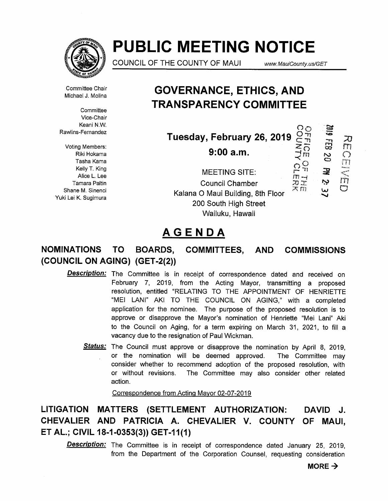

# PUBLIC MEETING NOTICE

COUNCIL OF THE COUNTY OF MAUI www.MauiCounty.us/GET

ה<br>ה  $\bigcirc$ 

m

 $\infty$ 

Ô  $\overline{\circ}$ Ŧ1  $\overline{m}$ 

Committee Chair Michael J. Molina

**Committee** Vice-Chair Keani N.W. Rawlins-Fernandez

Voting Members: Riki Hokama Tasha Kama Kelly T. King Alice L. Lee Tamara Paltin Yuki Lei K. Sugimura

## GOVERNANCE, ETHICS, AND TRANSPARENCY COMMITTEE

Tuesday, February 26, 2019<br><sup>27</sup><br><sup>27</sup> 9:00 a.m. 9:00a.m.

Shane M. Sinenci W i-p Kalana 0 Maui Building, 8th Floor Wailuku, Hawaii MEETING SITE: Council Chamber 200 South High Street

## AGENDA

## NOMINATIONS TO BOARDS, COMMITTEES, AND COMMISSIONS (COUNCIL ON AGING) (GET-2(2))

- Description: The Committee is in receipt of correspondence dated and received on February 7, 2019, from the Acting Mayor, transmitting a proposed resolution, entitled "RELATING TO THE APPOINTMENT OF HENRIETTE "MEl LANI" AKI TO THE COUNCIL ON AGING," with a completed application for the nominee. The purpose of the proposed resolution is to approve or disapprove the Mayor's nomination of Henriette "Mei Lani" Aki to the Council on Aging, for a term expiring on March 31, 2021, to fill a vacancy due to the resignation of Paul Wickman.
	- Status: The Council must approve or disapprove the nomination by April 8, 2019, or the nomination will be deemed approved. The Committee may consider whether to recommend adoption of the proposed resolution, with or without revisions. The Committee may also consider other related action.

Correspondence from Acting Mayor 02-07-2019

LITIGATION MATTERS (SETTLEMENT AUTHORIZATION: DAVID J. CHEVALIER AND PATRICIA A. CHEVALIER V. COUNTY OF MAUI, ET AL; CIVIL 18-1-0353(3)) GET-11(1)

**Description:** The Committee is in receipt of correspondence dated January 25, 2019, from the Department of the Corporation Counsel, requesting consideration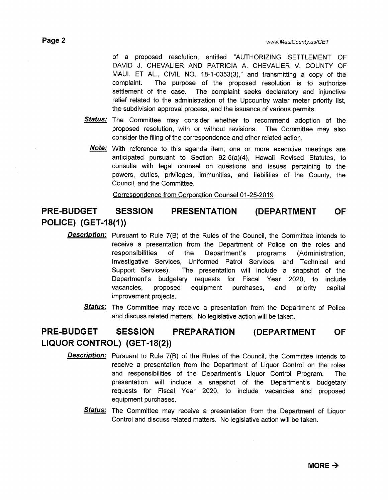of a proposed resolution, entitled "AUTHORIZING SETTLEMENT OF DAVID J. CHEVALIER AND PATRICIA A. CHEVALIER V. COUNTY OF MAUI, ET AL., CIVIL NO. 18-1-0353(3)," and transmitting a copy of the complaint. The purpose of the proposed resolution is to authorize settlement of the case. The complaint seeks declaratory and injunctive relief related to the administration of the Upcountry water meter priority list, the subdivision approval process, and the issuance of various permits.

- Status: The Committee may consider whether to recommend adoption of the proposed resolution, with or without revisions. The Committee may also consider the filing of the correspondence and other related action.
	- **Note:** With reference to this agenda item, one or more executive meetings are anticipated pursuant to Section 92-5(a)(4), Hawaii Revised Statutes, to consulta with legal counsel on questions and issues pertaining to the powers, duties, privileges, immunities, and liabilities of the County, the Council, and the Committee.

Correspondence from Corporation Counsel 01-25-2019

### PRE-BUDGET SESSION PRESENTATION (DEPARTMENT OF POLICE) (GET-18(1))

- Description: Pursuant to Rule 7(B) of the Rules of the Council, the Committee intends to receive a presentation from the Department of Police on the roles and responsibilities of the Department's programs (Administration, Investigative Services, Uniformed Patrol Services, and Technical and Support Services). The presentation will include a snapshot of the Department's budgetary requests for Fiscal Year 2020, to include vacancies, proposed equipment purchases, and priority capital improvement projects.
	- Status: The Committee may receive a presentation from the Department of Police and discuss related matters. No legislative action will be taken.

### PRE-BUDGET SESSION PREPARATION (DEPARTMENT OF LIQUOR CONTROL) (GET-18(2))

- **Description:** Pursuant to Rule 7(B) of the Rules of the Council, the Committee intends to receive a presentation from the Department of Liquor Control on the roles and responsibilities of the Department's Liquor Control Program. The presentation will include a snapshot of the Department's budgetary requests for Fiscal Year 2020, to include vacancies and proposed equipment purchases.
	- Status: The Committee may receive a presentation from the Department of Liquor Control and discuss related matters. No legislative action will be taken.